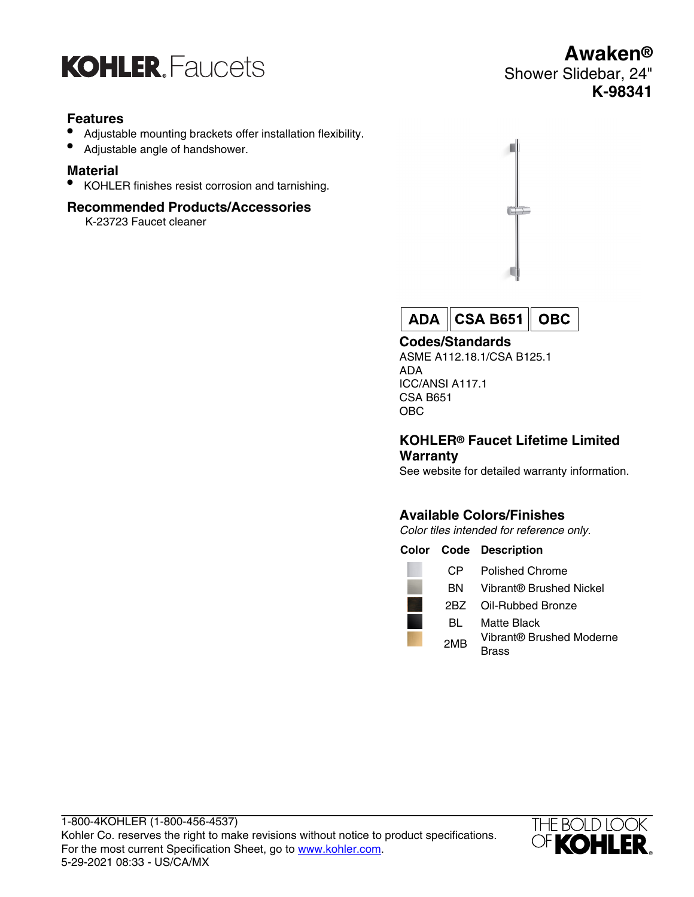

## **Features**

- Adjustable mounting brackets offer installation flexibility.
- Adjustable angle of handshower.

## **Material**

• KOHLER finishes resist corrosion and tarnishing.

## **Recommended Products/Accessories**

K-23723 Faucet cleaner



**CSA B651 OBC ADA** 

#### **Codes/Standards**

ASME A112.18.1/CSA B125.1 ADA ICC/ANSI A117.1 CSA B651 OBC

#### **KOHLER® Faucet Lifetime Limited Warranty**

See website for detailed warranty information.

## **Available Colors/Finishes**

Color tiles intended for reference only.

|                 | <b>Color Code Description</b>     |
|-----------------|-----------------------------------|
| CP.             | Polished Chrome                   |
| BN.             | Vibrant® Brushed Nickel           |
| 2BZ             | Oil-Rubbed Bronze                 |
| BL              | Matte Black                       |
| 2M <sub>R</sub> | Vibrant® Brushed Moderne<br>Brass |



## **Awaken®** Shower Slidebar, 24" **K-98341**